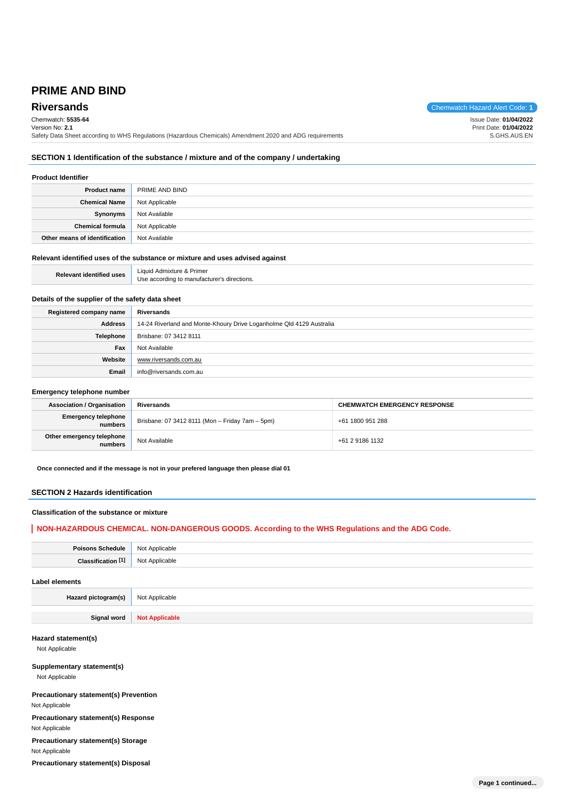## **PRIME AND BIND**

# Chemwatch: **5535-64**

**Riversands** Chemwatch Hazard Alert Code: 1

Issue Date: **01/04/2022**

Version No: **2.1** Safety Data Sheet according to WHS Regulations (Hazardous Chemicals) Amendment 2020 and ADG requirements Print Date: **01/04/2022** S.GHS.AUS.EN

## **SECTION 1 Identification of the substance / mixture and of the company / undertaking**

## **Product Identifier**

| <b>Product name</b>           | PRIME AND BIND |
|-------------------------------|----------------|
| <b>Chemical Name</b>          | Not Applicable |
| Synonyms                      | Not Available  |
| <b>Chemical formula</b>       | Not Applicable |
| Other means of identification | Not Available  |

#### **Relevant identified uses of the substance or mixture and uses advised against**

| <b>Relevant identified uses</b> | Liquid Admixture & Primer                   |
|---------------------------------|---------------------------------------------|
|                                 | Use according to manufacturer's directions. |

## **Details of the supplier of the safety data sheet**

| Registered company name | Riversands                                                           |
|-------------------------|----------------------------------------------------------------------|
| Address                 | 14-24 Riverland and Monte-Khoury Drive Loganholme Qld 4129 Australia |
| Telephone               | Brisbane: 07 3412 8111                                               |
| Fax                     | Not Available                                                        |
| Website                 | www.riversands.com.au                                                |
| Email                   | info@riversands.com.au                                               |

#### **Emergency telephone number**

| <b>Association / Organisation</b>     | Riversands                                      | <b>CHEMWATCH EMERGENCY RESPONSE</b> |
|---------------------------------------|-------------------------------------------------|-------------------------------------|
| <b>Emergency telephone</b><br>numbers | Brisbane: 07 3412 8111 (Mon - Friday 7am - 5pm) | +61 1800 951 288                    |
| Other emergency telephone<br>numbers  | Not Available                                   | +61 2 9186 1132                     |

**Once connected and if the message is not in your prefered language then please dial 01**

#### **SECTION 2 Hazards identification**

#### **Classification of the substance or mixture**

## **NON-HAZARDOUS CHEMICAL. NON-DANGEROUS GOODS. According to the WHS Regulations and the ADG Code.**

| Poisons Schedule   Not Applicable |                |
|-----------------------------------|----------------|
| Classification <sup>[1]</sup>     | Not Applicable |
| Label elements                    |                |

## **Hazard pictogram(s)** Not Applicable

**Signal word Not Applicable**

## **Hazard statement(s)**

Not Applicable

**Supplementary statement(s)** Not Applicable

**Precautionary statement(s) Prevention**

Not Applicable

**Precautionary statement(s) Response**

Not Applicable **Precautionary statement(s) Storage**

Not Applicable

**Precautionary statement(s) Disposal**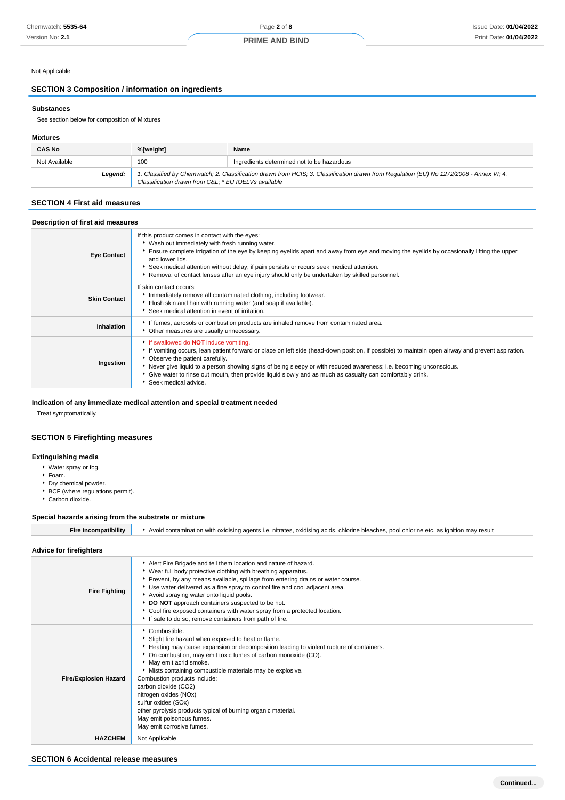#### Not Applicable

## **SECTION 3 Composition / information on ingredients**

#### **Substances**

See section below for composition of Mixtures

#### **Mixtures**

| <b>CAS No</b> | %[weight]                                                                                                                                                                                      | Name                                       |
|---------------|------------------------------------------------------------------------------------------------------------------------------------------------------------------------------------------------|--------------------------------------------|
| Not Available | 100                                                                                                                                                                                            | Ingredients determined not to be hazardous |
| Leaend:       | 1. Classified by Chemwatch; 2. Classification drawn from HCIS; 3. Classification drawn from Regulation (EU) No 1272/2008 - Annex VI; 4.<br>Classification drawn from C&L * EU IOELVs available |                                            |

## **SECTION 4 First aid measures**

| Description of first aid measures |                                                                                                                                                                                                                                                                                                                                                                                                                                                                                                |  |
|-----------------------------------|------------------------------------------------------------------------------------------------------------------------------------------------------------------------------------------------------------------------------------------------------------------------------------------------------------------------------------------------------------------------------------------------------------------------------------------------------------------------------------------------|--|
| <b>Eye Contact</b>                | If this product comes in contact with the eyes:<br>▶ Wash out immediately with fresh running water.<br>Ensure complete irrigation of the eye by keeping eyelids apart and away from eye and moving the eyelids by occasionally lifting the upper<br>and lower lids.<br>Seek medical attention without delay; if pain persists or recurs seek medical attention.<br>▶ Removal of contact lenses after an eye injury should only be undertaken by skilled personnel.                             |  |
| <b>Skin Contact</b>               | If skin contact occurs:<br>Inmediately remove all contaminated clothing, including footwear.<br>Flush skin and hair with running water (and soap if available).<br>Seek medical attention in event of irritation.                                                                                                                                                                                                                                                                              |  |
| <b>Inhalation</b>                 | If fumes, aerosols or combustion products are inhaled remove from contaminated area.<br>• Other measures are usually unnecessary.                                                                                                                                                                                                                                                                                                                                                              |  |
| Ingestion                         | If swallowed do <b>NOT</b> induce vomiting.<br>If vomiting occurs, lean patient forward or place on left side (head-down position, if possible) to maintain open airway and prevent aspiration.<br>• Observe the patient carefully.<br>Never give liquid to a person showing signs of being sleepy or with reduced awareness; i.e. becoming unconscious.<br>• Give water to rinse out mouth, then provide liquid slowly and as much as casualty can comfortably drink.<br>Seek medical advice. |  |

#### **Indication of any immediate medical attention and special treatment needed**

Treat symptomatically.

## **SECTION 5 Firefighting measures**

## **Extinguishing media**

- Water spray or fog.
- Foam.
- Dry chemical powder.
- BCF (where regulations permit).
- Carbon dioxide.

#### **Special hazards arising from the substrate or mixture**

| -ire | ו with oxidising agents i.e. nitrates. oxidising acids. chlorine bleaches. ו<br>s. pool chlorine etc. as ignition<br>n may result<br>Avoid contamination |
|------|----------------------------------------------------------------------------------------------------------------------------------------------------------|
|      |                                                                                                                                                          |

| <b>Fire Fighting</b>         | Alert Fire Brigade and tell them location and nature of hazard.<br>▶ Wear full body protective clothing with breathing apparatus.<br>▶ Prevent, by any means available, spillage from entering drains or water course.<br>Use water delivered as a fine spray to control fire and cool adjacent area.<br>Avoid spraying water onto liquid pools.<br>DO NOT approach containers suspected to be hot.<br>Cool fire exposed containers with water spray from a protected location.<br>If safe to do so, remove containers from path of fire.             |
|------------------------------|-------------------------------------------------------------------------------------------------------------------------------------------------------------------------------------------------------------------------------------------------------------------------------------------------------------------------------------------------------------------------------------------------------------------------------------------------------------------------------------------------------------------------------------------------------|
| <b>Fire/Explosion Hazard</b> | Combustible.<br>Slight fire hazard when exposed to heat or flame.<br>Heating may cause expansion or decomposition leading to violent rupture of containers.<br>▶ On combustion, may emit toxic fumes of carbon monoxide (CO).<br>May emit acrid smoke.<br>Mists containing combustible materials may be explosive.<br>Combustion products include:<br>carbon dioxide (CO2)<br>nitrogen oxides (NOx)<br>sulfur oxides (SOx)<br>other pyrolysis products typical of burning organic material.<br>May emit poisonous fumes.<br>May emit corrosive fumes. |
| <b>HAZCHEM</b>               | Not Applicable                                                                                                                                                                                                                                                                                                                                                                                                                                                                                                                                        |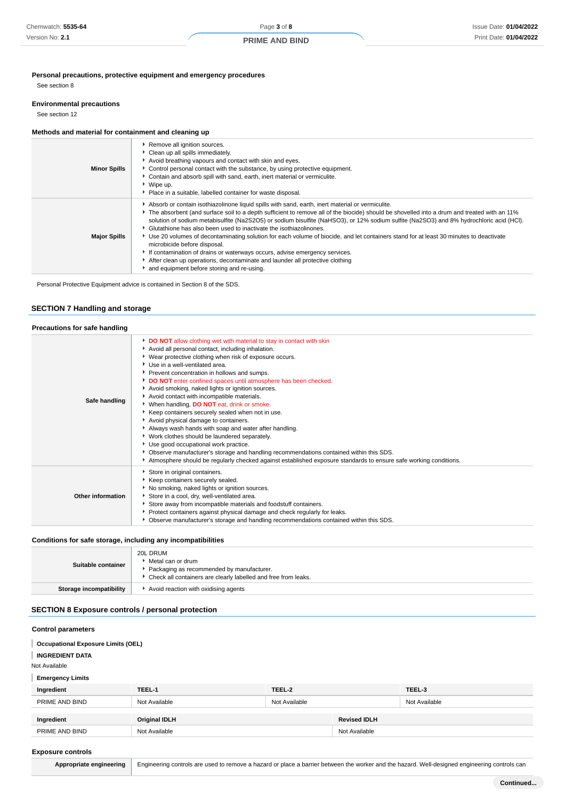#### **PRIME AND BIND**

**Personal precautions, protective equipment and emergency procedures**

See section 8

#### **Environmental precautions**

See section 12

## **Methods and material for containment and cleaning up**

| <b>Minor Spills</b> | Remove all ignition sources.<br>Clean up all spills immediately.<br>Avoid breathing vapours and contact with skin and eyes.<br>Control personal contact with the substance, by using protective equipment.<br>Contain and absorb spill with sand, earth, inert material or vermiculite.<br>▶ Wipe up.<br>• Place in a suitable, labelled container for waste disposal.                                                                                                                                                                                                                                                                                                                                                                                                                                                                                      |
|---------------------|-------------------------------------------------------------------------------------------------------------------------------------------------------------------------------------------------------------------------------------------------------------------------------------------------------------------------------------------------------------------------------------------------------------------------------------------------------------------------------------------------------------------------------------------------------------------------------------------------------------------------------------------------------------------------------------------------------------------------------------------------------------------------------------------------------------------------------------------------------------|
| <b>Major Spills</b> | Absorb or contain isothiazolinone liquid spills with sand, earth, inert material or vermiculite.<br>• The absorbent (and surface soil to a depth sufficient to remove all of the biocide) should be shovelled into a drum and treated with an 11%<br>solution of sodium metabisulfite (Na2S2O5) or sodium bisulfite (NaHSO3), or 12% sodium sulfite (Na2SO3) and 8% hydrochloric acid (HCI).<br>• Glutathione has also been used to inactivate the isothiazolinones.<br>▶ Use 20 volumes of decontaminating solution for each volume of biocide, and let containers stand for at least 30 minutes to deactivate<br>microbicide before disposal.<br>If contamination of drains or waterways occurs, advise emergency services.<br>After clean up operations, decontaminate and launder all protective clothing<br>and equipment before storing and re-using. |

Personal Protective Equipment advice is contained in Section 8 of the SDS.

#### **SECTION 7 Handling and storage**

| Precautions for safe handling |                                                                                                                                                                                                                                                                                                                                                                                                                                                                                                                                                                                                                                                                                                                                                                                                                                                                                                                                                                   |  |
|-------------------------------|-------------------------------------------------------------------------------------------------------------------------------------------------------------------------------------------------------------------------------------------------------------------------------------------------------------------------------------------------------------------------------------------------------------------------------------------------------------------------------------------------------------------------------------------------------------------------------------------------------------------------------------------------------------------------------------------------------------------------------------------------------------------------------------------------------------------------------------------------------------------------------------------------------------------------------------------------------------------|--|
| Safe handling                 | DO NOT allow clothing wet with material to stay in contact with skin<br>Avoid all personal contact, including inhalation.<br>▶ Wear protective clothing when risk of exposure occurs.<br>▶ Use in a well-ventilated area.<br>Prevent concentration in hollows and sumps.<br>DO NOT enter confined spaces until atmosphere has been checked.<br>Avoid smoking, naked lights or ignition sources.<br>Avoid contact with incompatible materials.<br>When handling, <b>DO NOT</b> eat, drink or smoke.<br>Keep containers securely sealed when not in use.<br>Avoid physical damage to containers.<br>Always wash hands with soap and water after handling.<br>▶ Work clothes should be laundered separately.<br>Use good occupational work practice.<br>▶ Observe manufacturer's storage and handling recommendations contained within this SDS.<br>Atmosphere should be regularly checked against established exposure standards to ensure safe working conditions. |  |
| Other information             | Store in original containers.<br>Keep containers securely sealed.<br>No smoking, naked lights or ignition sources.<br>Store in a cool, dry, well-ventilated area.<br>Store away from incompatible materials and foodstuff containers.<br>Protect containers against physical damage and check regularly for leaks.<br>• Observe manufacturer's storage and handling recommendations contained within this SDS.                                                                                                                                                                                                                                                                                                                                                                                                                                                                                                                                                    |  |

## **Conditions for safe storage, including any incompatibilities**

| Suitable container      | 20L DRUM<br>▶ Metal can or drum<br>Packaging as recommended by manufacturer.<br>▶ Check all containers are clearly labelled and free from leaks. |
|-------------------------|--------------------------------------------------------------------------------------------------------------------------------------------------|
| Storage incompatibility | Avoid reaction with oxidising agents                                                                                                             |
|                         |                                                                                                                                                  |

## **SECTION 8 Exposure controls / personal protection**

#### **Control parameters**

- **Occupational Exposure Limits (OEL)**
- **INGREDIENT DATA**

Not Available

**Emergency Limits**

| Ingredient     | TEEL-1               | TEEL-2        |                     | TEEL-3        |
|----------------|----------------------|---------------|---------------------|---------------|
| PRIME AND BIND | Not Available        | Not Available |                     | Not Available |
|                |                      |               |                     |               |
| Ingredient     | <b>Original IDLH</b> |               | <b>Revised IDLH</b> |               |
| PRIME AND BIND | Not Available        |               | Not Available       |               |

#### **Exposure controls**

| Appropriate engineering |  |
|-------------------------|--|
|-------------------------|--|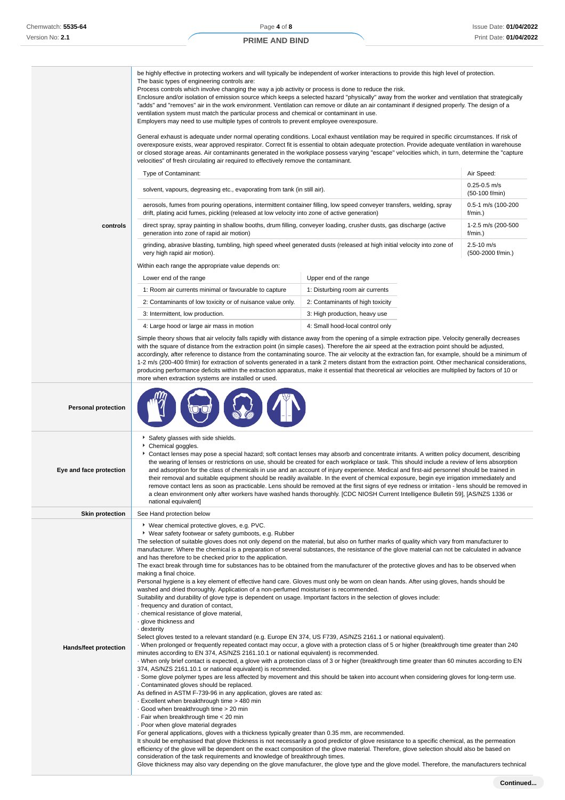h

## **PRIME AND BIND**

|                              | be highly effective in protecting workers and will typically be independent of worker interactions to provide this high level of protection.<br>The basic types of engineering controls are:<br>Process controls which involve changing the way a job activity or process is done to reduce the risk.<br>Enclosure and/or isolation of emission source which keeps a selected hazard "physically" away from the worker and ventilation that strategically<br>"adds" and "removes" air in the work environment. Ventilation can remove or dilute an air contaminant if designed properly. The design of a<br>ventilation system must match the particular process and chemical or contaminant in use.<br>Employers may need to use multiple types of controls to prevent employee overexposure.<br>General exhaust is adequate under normal operating conditions. Local exhaust ventilation may be required in specific circumstances. If risk of                                                                                                                                                                                                                                                                                                                                                                                                                                                                                                                                                                                                                                                                                                                                                                                                                                                                                                                                                                                                                                                                                                                                                                                                                                                                                                                                                                                                                                                                   |                                  |                                     |  |  |
|------------------------------|--------------------------------------------------------------------------------------------------------------------------------------------------------------------------------------------------------------------------------------------------------------------------------------------------------------------------------------------------------------------------------------------------------------------------------------------------------------------------------------------------------------------------------------------------------------------------------------------------------------------------------------------------------------------------------------------------------------------------------------------------------------------------------------------------------------------------------------------------------------------------------------------------------------------------------------------------------------------------------------------------------------------------------------------------------------------------------------------------------------------------------------------------------------------------------------------------------------------------------------------------------------------------------------------------------------------------------------------------------------------------------------------------------------------------------------------------------------------------------------------------------------------------------------------------------------------------------------------------------------------------------------------------------------------------------------------------------------------------------------------------------------------------------------------------------------------------------------------------------------------------------------------------------------------------------------------------------------------------------------------------------------------------------------------------------------------------------------------------------------------------------------------------------------------------------------------------------------------------------------------------------------------------------------------------------------------------------------------------------------------------------------------------------------------|----------------------------------|-------------------------------------|--|--|
|                              | overexposure exists, wear approved respirator. Correct fit is essential to obtain adequate protection. Provide adequate ventilation in warehouse<br>or closed storage areas. Air contaminants generated in the workplace possess varying "escape" velocities which, in turn, determine the "capture<br>velocities" of fresh circulating air required to effectively remove the contaminant.                                                                                                                                                                                                                                                                                                                                                                                                                                                                                                                                                                                                                                                                                                                                                                                                                                                                                                                                                                                                                                                                                                                                                                                                                                                                                                                                                                                                                                                                                                                                                                                                                                                                                                                                                                                                                                                                                                                                                                                                                        |                                  |                                     |  |  |
|                              | Type of Contaminant:                                                                                                                                                                                                                                                                                                                                                                                                                                                                                                                                                                                                                                                                                                                                                                                                                                                                                                                                                                                                                                                                                                                                                                                                                                                                                                                                                                                                                                                                                                                                                                                                                                                                                                                                                                                                                                                                                                                                                                                                                                                                                                                                                                                                                                                                                                                                                                                               |                                  | Air Speed:                          |  |  |
|                              | solvent, vapours, degreasing etc., evaporating from tank (in still air).                                                                                                                                                                                                                                                                                                                                                                                                                                                                                                                                                                                                                                                                                                                                                                                                                                                                                                                                                                                                                                                                                                                                                                                                                                                                                                                                                                                                                                                                                                                                                                                                                                                                                                                                                                                                                                                                                                                                                                                                                                                                                                                                                                                                                                                                                                                                           |                                  | $0.25 - 0.5$ m/s<br>(50-100 f/min)  |  |  |
|                              | aerosols, fumes from pouring operations, intermittent container filling, low speed conveyer transfers, welding, spray<br>drift, plating acid fumes, pickling (released at low velocity into zone of active generation)                                                                                                                                                                                                                                                                                                                                                                                                                                                                                                                                                                                                                                                                                                                                                                                                                                                                                                                                                                                                                                                                                                                                                                                                                                                                                                                                                                                                                                                                                                                                                                                                                                                                                                                                                                                                                                                                                                                                                                                                                                                                                                                                                                                             |                                  | 0.5-1 m/s (100-200<br>f/min.)       |  |  |
| controls                     | direct spray, spray painting in shallow booths, drum filling, conveyer loading, crusher dusts, gas discharge (active<br>generation into zone of rapid air motion)                                                                                                                                                                                                                                                                                                                                                                                                                                                                                                                                                                                                                                                                                                                                                                                                                                                                                                                                                                                                                                                                                                                                                                                                                                                                                                                                                                                                                                                                                                                                                                                                                                                                                                                                                                                                                                                                                                                                                                                                                                                                                                                                                                                                                                                  |                                  | 1-2.5 m/s (200-500<br>f/min.)       |  |  |
|                              | grinding, abrasive blasting, tumbling, high speed wheel generated dusts (released at high initial velocity into zone of<br>very high rapid air motion).                                                                                                                                                                                                                                                                                                                                                                                                                                                                                                                                                                                                                                                                                                                                                                                                                                                                                                                                                                                                                                                                                                                                                                                                                                                                                                                                                                                                                                                                                                                                                                                                                                                                                                                                                                                                                                                                                                                                                                                                                                                                                                                                                                                                                                                            |                                  | $2.5 - 10$ m/s<br>(500-2000 f/min.) |  |  |
|                              | Within each range the appropriate value depends on:                                                                                                                                                                                                                                                                                                                                                                                                                                                                                                                                                                                                                                                                                                                                                                                                                                                                                                                                                                                                                                                                                                                                                                                                                                                                                                                                                                                                                                                                                                                                                                                                                                                                                                                                                                                                                                                                                                                                                                                                                                                                                                                                                                                                                                                                                                                                                                |                                  |                                     |  |  |
|                              | Lower end of the range                                                                                                                                                                                                                                                                                                                                                                                                                                                                                                                                                                                                                                                                                                                                                                                                                                                                                                                                                                                                                                                                                                                                                                                                                                                                                                                                                                                                                                                                                                                                                                                                                                                                                                                                                                                                                                                                                                                                                                                                                                                                                                                                                                                                                                                                                                                                                                                             | Upper end of the range           |                                     |  |  |
|                              | 1: Room air currents minimal or favourable to capture                                                                                                                                                                                                                                                                                                                                                                                                                                                                                                                                                                                                                                                                                                                                                                                                                                                                                                                                                                                                                                                                                                                                                                                                                                                                                                                                                                                                                                                                                                                                                                                                                                                                                                                                                                                                                                                                                                                                                                                                                                                                                                                                                                                                                                                                                                                                                              | 1: Disturbing room air currents  |                                     |  |  |
|                              | 2: Contaminants of low toxicity or of nuisance value only.                                                                                                                                                                                                                                                                                                                                                                                                                                                                                                                                                                                                                                                                                                                                                                                                                                                                                                                                                                                                                                                                                                                                                                                                                                                                                                                                                                                                                                                                                                                                                                                                                                                                                                                                                                                                                                                                                                                                                                                                                                                                                                                                                                                                                                                                                                                                                         | 2: Contaminants of high toxicity |                                     |  |  |
|                              | 3: Intermittent, low production.                                                                                                                                                                                                                                                                                                                                                                                                                                                                                                                                                                                                                                                                                                                                                                                                                                                                                                                                                                                                                                                                                                                                                                                                                                                                                                                                                                                                                                                                                                                                                                                                                                                                                                                                                                                                                                                                                                                                                                                                                                                                                                                                                                                                                                                                                                                                                                                   | 3: High production, heavy use    |                                     |  |  |
|                              | 4: Large hood or large air mass in motion                                                                                                                                                                                                                                                                                                                                                                                                                                                                                                                                                                                                                                                                                                                                                                                                                                                                                                                                                                                                                                                                                                                                                                                                                                                                                                                                                                                                                                                                                                                                                                                                                                                                                                                                                                                                                                                                                                                                                                                                                                                                                                                                                                                                                                                                                                                                                                          | 4: Small hood-local control only |                                     |  |  |
|                              | Simple theory shows that air velocity falls rapidly with distance away from the opening of a simple extraction pipe. Velocity generally decreases<br>with the square of distance from the extraction point (in simple cases). Therefore the air speed at the extraction point should be adjusted,<br>accordingly, after reference to distance from the contaminating source. The air velocity at the extraction fan, for example, should be a minimum of<br>1-2 m/s (200-400 f/min) for extraction of solvents generated in a tank 2 meters distant from the extraction point. Other mechanical considerations,<br>producing performance deficits within the extraction apparatus, make it essential that theoretical air velocities are multiplied by factors of 10 or<br>more when extraction systems are installed or used.                                                                                                                                                                                                                                                                                                                                                                                                                                                                                                                                                                                                                                                                                                                                                                                                                                                                                                                                                                                                                                                                                                                                                                                                                                                                                                                                                                                                                                                                                                                                                                                     |                                  |                                     |  |  |
| <b>Personal protection</b>   |                                                                                                                                                                                                                                                                                                                                                                                                                                                                                                                                                                                                                                                                                                                                                                                                                                                                                                                                                                                                                                                                                                                                                                                                                                                                                                                                                                                                                                                                                                                                                                                                                                                                                                                                                                                                                                                                                                                                                                                                                                                                                                                                                                                                                                                                                                                                                                                                                    |                                  |                                     |  |  |
| Eye and face protection      | Safety glasses with side shields.<br>Chemical goggles.<br>Contact lenses may pose a special hazard; soft contact lenses may absorb and concentrate irritants. A written policy document, describing<br>the wearing of lenses or restrictions on use, should be created for each workplace or task. This should include a review of lens absorption<br>and adsorption for the class of chemicals in use and an account of injury experience. Medical and first-aid personnel should be trained in<br>their removal and suitable equipment should be readily available. In the event of chemical exposure, begin eye irrigation immediately and<br>remove contact lens as soon as practicable. Lens should be removed at the first signs of eye redness or irritation - lens should be removed in<br>a clean environment only after workers have washed hands thoroughly. [CDC NIOSH Current Intelligence Bulletin 59], [AS/NZS 1336 or                                                                                                                                                                                                                                                                                                                                                                                                                                                                                                                                                                                                                                                                                                                                                                                                                                                                                                                                                                                                                                                                                                                                                                                                                                                                                                                                                                                                                                                                              |                                  |                                     |  |  |
| <b>Skin protection</b>       | national equivalent]<br>See Hand protection below                                                                                                                                                                                                                                                                                                                                                                                                                                                                                                                                                                                                                                                                                                                                                                                                                                                                                                                                                                                                                                                                                                                                                                                                                                                                                                                                                                                                                                                                                                                                                                                                                                                                                                                                                                                                                                                                                                                                                                                                                                                                                                                                                                                                                                                                                                                                                                  |                                  |                                     |  |  |
| <b>Hands/feet protection</b> | ▶ Wear chemical protective gloves, e.g. PVC.<br>▶ Wear safety footwear or safety gumboots, e.g. Rubber<br>The selection of suitable gloves does not only depend on the material, but also on further marks of quality which vary from manufacturer to<br>manufacturer. Where the chemical is a preparation of several substances, the resistance of the glove material can not be calculated in advance<br>and has therefore to be checked prior to the application.<br>The exact break through time for substances has to be obtained from the manufacturer of the protective gloves and has to be observed when<br>making a final choice.<br>Personal hygiene is a key element of effective hand care. Gloves must only be worn on clean hands. After using gloves, hands should be<br>washed and dried thoroughly. Application of a non-perfumed moisturiser is recommended.<br>Suitability and durability of glove type is dependent on usage. Important factors in the selection of gloves include:<br>· frequency and duration of contact,<br>· chemical resistance of glove material,<br>· glove thickness and<br>dexterity .<br>Select gloves tested to a relevant standard (e.g. Europe EN 374, US F739, AS/NZS 2161.1 or national equivalent).<br>When prolonged or frequently repeated contact may occur, a glove with a protection class of 5 or higher (breakthrough time greater than 240<br>minutes according to EN 374, AS/NZS 2161.10.1 or national equivalent) is recommended.<br>When only brief contact is expected, a glove with a protection class of 3 or higher (breakthrough time greater than 60 minutes according to EN<br>374, AS/NZS 2161.10.1 or national equivalent) is recommended.<br>. Some glove polymer types are less affected by movement and this should be taken into account when considering gloves for long-term use.<br>Contaminated gloves should be replaced.<br>As defined in ASTM F-739-96 in any application, gloves are rated as:<br>Excellent when breakthrough time > 480 min<br>Good when breakthrough time > 20 min<br>⋅ Fair when breakthrough time < 20 min<br>· Poor when glove material degrades<br>For general applications, gloves with a thickness typically greater than 0.35 mm, are recommended.<br>It should be emphasised that glove thickness is not necessarily a good predictor of glove resistance to a specific chemical, as the permeation |                                  |                                     |  |  |
|                              | efficiency of the glove will be dependent on the exact composition of the glove material. Therefore, glove selection should also be based on<br>consideration of the task requirements and knowledge of breakthrough times.                                                                                                                                                                                                                                                                                                                                                                                                                                                                                                                                                                                                                                                                                                                                                                                                                                                                                                                                                                                                                                                                                                                                                                                                                                                                                                                                                                                                                                                                                                                                                                                                                                                                                                                                                                                                                                                                                                                                                                                                                                                                                                                                                                                        |                                  |                                     |  |  |

Glove thickness may also vary depending on the glove manufacturer, the glove type and the glove model. Therefore, the manufacturers technical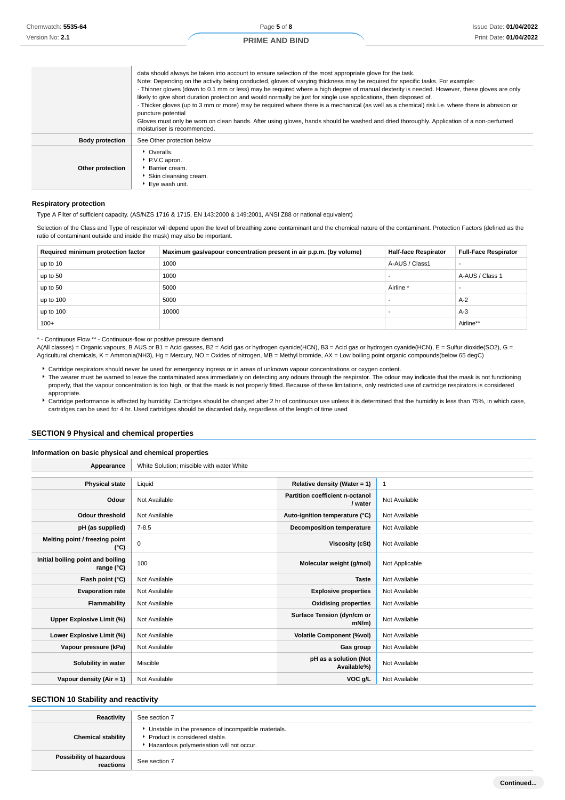|                        | data should always be taken into account to ensure selection of the most appropriate glove for the task.<br>Note: Depending on the activity being conducted, gloves of varying thickness may be required for specific tasks. For example:<br>Thinner gloves (down to 0.1 mm or less) may be required where a high degree of manual dexterity is needed. However, these gloves are only<br>likely to give short duration protection and would normally be just for single use applications, then disposed of.<br>Thicker gloves (up to 3 mm or more) may be required where there is a mechanical (as well as a chemical) risk i.e. where there is abrasion or<br>puncture potential<br>Gloves must only be worn on clean hands. After using gloves, hands should be washed and dried thoroughly. Application of a non-perfumed<br>moisturiser is recommended. |
|------------------------|--------------------------------------------------------------------------------------------------------------------------------------------------------------------------------------------------------------------------------------------------------------------------------------------------------------------------------------------------------------------------------------------------------------------------------------------------------------------------------------------------------------------------------------------------------------------------------------------------------------------------------------------------------------------------------------------------------------------------------------------------------------------------------------------------------------------------------------------------------------|
| <b>Body protection</b> | See Other protection below                                                                                                                                                                                                                                                                                                                                                                                                                                                                                                                                                                                                                                                                                                                                                                                                                                   |
| Other protection       | • Overalls.<br>P.V.C apron.<br>Barrier cream.<br>Skin cleansing cream.<br>▶ Eve wash unit.                                                                                                                                                                                                                                                                                                                                                                                                                                                                                                                                                                                                                                                                                                                                                                   |

#### **Respiratory protection**

Type A Filter of sufficient capacity. (AS/NZS 1716 & 1715, EN 143:2000 & 149:2001, ANSI Z88 or national equivalent)

Selection of the Class and Type of respirator will depend upon the level of breathing zone contaminant and the chemical nature of the contaminant. Protection Factors (defined as the ratio of contaminant outside and inside the mask) may also be important.

| Required minimum protection factor | Maximum gas/vapour concentration present in air p.p.m. (by volume) | <b>Half-face Respirator</b> | <b>Full-Face Respirator</b> |
|------------------------------------|--------------------------------------------------------------------|-----------------------------|-----------------------------|
| up to 10                           | 1000                                                               | A-AUS / Class1              |                             |
| up to 50                           | 1000                                                               |                             | A-AUS / Class 1             |
| up to 50                           | 5000                                                               | Airline <sup>*</sup>        |                             |
| up to 100                          | 5000                                                               |                             | $A-2$                       |
| up to 100                          | 10000                                                              |                             | $A-3$                       |
| $100+$                             |                                                                    |                             | Airline**                   |

\* - Continuous Flow \*\* - Continuous-flow or positive pressure demand

A(All classes) = Organic vapours, B AUS or B1 = Acid gasses, B2 = Acid gas or hydrogen cyanide(HCN), B3 = Acid gas or hydrogen cyanide(HCN), E = Sulfur dioxide(SO2), G = Agricultural chemicals, K = Ammonia(NH3), Hg = Mercury, NO = Oxides of nitrogen, MB = Methyl bromide, AX = Low boiling point organic compounds(below 65 degC)

- Cartridge respirators should never be used for emergency ingress or in areas of unknown vapour concentrations or oxygen content.
- The wearer must be warned to leave the contaminated area immediately on detecting any odours through the respirator. The odour may indicate that the mask is not functioning properly, that the vapour concentration is too high, or that the mask is not properly fitted. Because of these limitations, only restricted use of cartridge respirators is considered appropriate.
- Cartridge performance is affected by humidity. Cartridges should be changed after 2 hr of continuous use unless it is determined that the humidity is less than 75%, in which case, cartridges can be used for 4 hr. Used cartridges should be discarded daily, regardless of the length of time used

## **SECTION 9 Physical and chemical properties**

#### **Information on basic physical and chemical properties**

**Appearance** White Solution; miscible with water White

| <b>Physical state</b>                                    | Liquid        | Relative density (Water = 1)               | 1              |
|----------------------------------------------------------|---------------|--------------------------------------------|----------------|
| Odour                                                    | Not Available | Partition coefficient n-octanol<br>/ water | Not Available  |
| <b>Odour threshold</b>                                   | Not Available | Auto-ignition temperature (°C)             | Not Available  |
| pH (as supplied)                                         | $7 - 8.5$     | Decomposition temperature                  | Not Available  |
| Melting point / freezing point<br>(°C)                   | $\mathbf 0$   | Viscosity (cSt)                            | Not Available  |
| Initial boiling point and boiling<br>range $(^{\circ}C)$ | 100           | Molecular weight (g/mol)                   | Not Applicable |
| Flash point (°C)                                         | Not Available | <b>Taste</b>                               | Not Available  |
| <b>Evaporation rate</b>                                  | Not Available | <b>Explosive properties</b>                | Not Available  |
| Flammability                                             | Not Available | <b>Oxidising properties</b>                | Not Available  |
| Upper Explosive Limit (%)                                | Not Available | Surface Tension (dyn/cm or<br>$mN/m$ )     | Not Available  |
| Lower Explosive Limit (%)                                | Not Available | <b>Volatile Component (%vol)</b>           | Not Available  |
| Vapour pressure (kPa)                                    | Not Available | Gas group                                  | Not Available  |
| Solubility in water                                      | Miscible      | pH as a solution (Not<br>Available%)       | Not Available  |
| Vapour density $(Air = 1)$                               | Not Available | VOC g/L                                    | Not Available  |

#### **SECTION 10 Stability and reactivity**

| Reactivity                            | See section 7                                                                                                                    |
|---------------------------------------|----------------------------------------------------------------------------------------------------------------------------------|
| <b>Chemical stability</b>             | Unstable in the presence of incompatible materials.<br>Product is considered stable.<br>Hazardous polymerisation will not occur. |
| Possibility of hazardous<br>reactions | See section 7                                                                                                                    |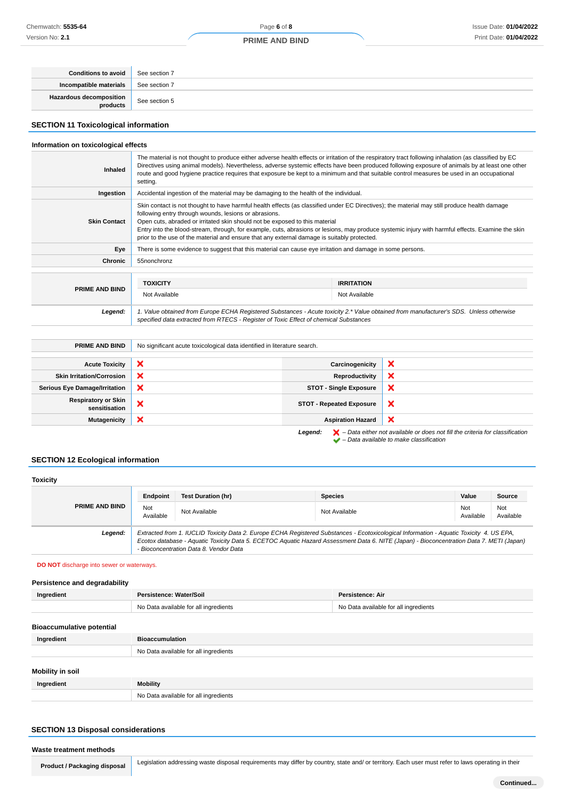## **PRIME AND BIND**

| <b>Conditions to avoid</b>                 | See section 7 |
|--------------------------------------------|---------------|
| Incompatible materials                     | See section 7 |
| <b>Hazardous decomposition</b><br>products | See section 5 |

## **SECTION 11 Toxicological information**

## **Information on toxicological effects**

| <b>Inhaled</b>        | The material is not thought to produce either adverse health effects or irritation of the respiratory tract following inhalation (as classified by EC<br>Directives using animal models). Nevertheless, adverse systemic effects have been produced following exposure of animals by at least one other<br>route and good hygiene practice requires that exposure be kept to a minimum and that suitable control measures be used in an occupational<br>setting.                                                                         |  |  |  |
|-----------------------|------------------------------------------------------------------------------------------------------------------------------------------------------------------------------------------------------------------------------------------------------------------------------------------------------------------------------------------------------------------------------------------------------------------------------------------------------------------------------------------------------------------------------------------|--|--|--|
| Ingestion             | Accidental ingestion of the material may be damaging to the health of the individual.                                                                                                                                                                                                                                                                                                                                                                                                                                                    |  |  |  |
| <b>Skin Contact</b>   | Skin contact is not thought to have harmful health effects (as classified under EC Directives); the material may still produce health damage<br>following entry through wounds, lesions or abrasions.<br>Open cuts, abraded or irritated skin should not be exposed to this material<br>Entry into the blood-stream, through, for example, cuts, abrasions or lesions, may produce systemic injury with harmful effects. Examine the skin<br>prior to the use of the material and ensure that any external damage is suitably protected. |  |  |  |
| Eye                   | There is some evidence to suggest that this material can cause eye irritation and damage in some persons.                                                                                                                                                                                                                                                                                                                                                                                                                                |  |  |  |
| <b>Chronic</b>        | 55nonchronz                                                                                                                                                                                                                                                                                                                                                                                                                                                                                                                              |  |  |  |
| <b>PRIME AND BIND</b> | <b>TOXICITY</b><br><b>IRRITATION</b><br>Not Available<br>Not Available                                                                                                                                                                                                                                                                                                                                                                                                                                                                   |  |  |  |
| Legend:               | 1. Value obtained from Europe ECHA Registered Substances - Acute toxicity 2.* Value obtained from manufacturer's SDS. Unless otherwise<br>specified data extracted from RTECS - Register of Toxic Effect of chemical Substances                                                                                                                                                                                                                                                                                                          |  |  |  |

| <b>PRIME AND BIND</b>                                                                                         | No significant acute toxicological data identified in literature search. |                                 |                           |
|---------------------------------------------------------------------------------------------------------------|--------------------------------------------------------------------------|---------------------------------|---------------------------|
|                                                                                                               |                                                                          |                                 |                           |
| <b>Acute Toxicity</b>                                                                                         | ×                                                                        | Carcinogenicity                 | $\boldsymbol{\mathsf{x}}$ |
| <b>Skin Irritation/Corrosion</b>                                                                              | ×                                                                        | Reproductivity                  | ×                         |
| <b>Serious Eye Damage/Irritation</b>                                                                          | ×                                                                        | <b>STOT - Single Exposure</b>   | $\boldsymbol{\mathsf{x}}$ |
| <b>Respiratory or Skin</b><br>sensitisation                                                                   | ×                                                                        | <b>STOT - Repeated Exposure</b> | $\boldsymbol{\mathsf{x}}$ |
| <b>Mutagenicity</b>                                                                                           | ×                                                                        | <b>Aspiration Hazard</b>        | $\boldsymbol{\mathsf{x}}$ |
| $\blacktriangleright$ - Data either not available or does not fill the criteria for classification<br>Legend: |                                                                          |                                 |                           |

– Data available to make classification

## **SECTION 12 Ecological information**

| <b>Toxicity</b>       |                                                                                                                                                                                                                                                                                                                                |                           |                |                  |                  |
|-----------------------|--------------------------------------------------------------------------------------------------------------------------------------------------------------------------------------------------------------------------------------------------------------------------------------------------------------------------------|---------------------------|----------------|------------------|------------------|
| <b>PRIME AND BIND</b> | Endpoint                                                                                                                                                                                                                                                                                                                       | <b>Test Duration (hr)</b> | <b>Species</b> | Value            | Source           |
|                       | Not<br>Available                                                                                                                                                                                                                                                                                                               | Not Available             | Not Available  | Not<br>Available | Not<br>Available |
| Legend:               | Extracted from 1. IUCLID Toxicity Data 2. Europe ECHA Registered Substances - Ecotoxicological Information - Aquatic Toxicity 4. US EPA.<br>Ecotox database - Aquatic Toxicity Data 5. ECETOC Aquatic Hazard Assessment Data 6. NITE (Japan) - Bioconcentration Data 7. METI (Japan)<br>- Bioconcentration Data 8. Vendor Data |                           |                |                  |                  |

**DO NOT** discharge into sewer or waterways.

## **Persistence and degradability**

| Ingredient                       | Persistence: Water/Soil               | Persistence: Air                      |
|----------------------------------|---------------------------------------|---------------------------------------|
|                                  | No Data available for all ingredients | No Data available for all ingredients |
| <b>Bioaccumulative potential</b> |                                       |                                       |
| Ingredient                       | <b>Bioaccumulation</b>                |                                       |
|                                  | No Data available for all ingredients |                                       |
|                                  |                                       |                                       |

## **Mobility in soil**

| ווטפ ווו צווועטוזו |                                       |  |
|--------------------|---------------------------------------|--|
| Ingredient         | Mobility                              |  |
|                    | No Data available for all ingredients |  |

## **SECTION 13 Disposal considerations**

#### **Waste treatment methods**

**Product / Packaging disposal** Legislation addressing waste disposal requirements may differ by country, state and/ or territory. Each user must refer to laws operating in their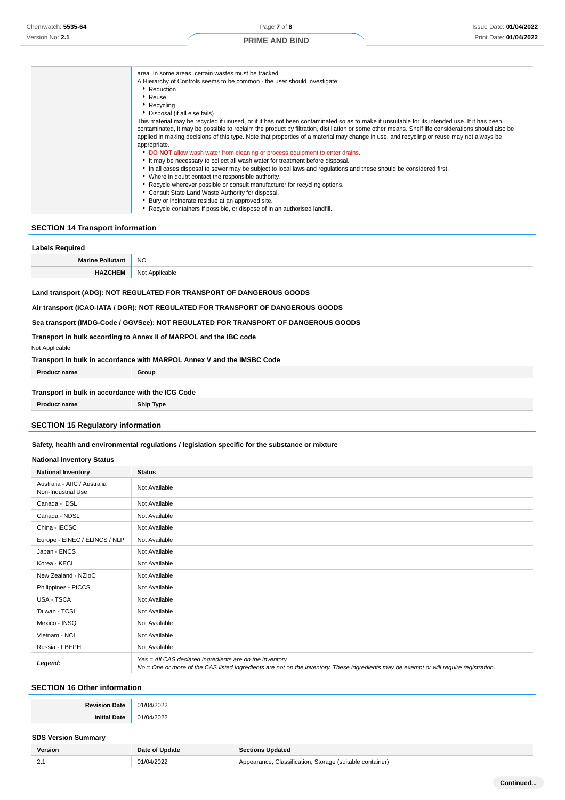| area. In some areas, certain wastes must be tracked.                                                                                              |
|---------------------------------------------------------------------------------------------------------------------------------------------------|
| A Hierarchy of Controls seems to be common - the user should investigate:                                                                         |
| ▶ Reduction                                                                                                                                       |
| ▸ Reuse                                                                                                                                           |
| $\cdot$ Recycling                                                                                                                                 |
| Disposal (if all else fails)                                                                                                                      |
| This material may be recycled if unused, or if it has not been contaminated so as to make it unsuitable for its intended use. If it has been      |
| contaminated, it may be possible to reclaim the product by filtration, distillation or some other means. Shelf life considerations should also be |
| applied in making decisions of this type. Note that properties of a material may change in use, and recycling or reuse may not always be          |
| appropriate.                                                                                                                                      |
| DO NOT allow wash water from cleaning or process equipment to enter drains.                                                                       |
| It may be necessary to collect all wash water for treatment before disposal.                                                                      |
| In all cases disposal to sewer may be subject to local laws and regulations and these should be considered first.                                 |
| • Where in doubt contact the responsible authority.                                                                                               |
| ▶ Recycle wherever possible or consult manufacturer for recycling options.                                                                        |
| Consult State Land Waste Authority for disposal.                                                                                                  |
| Bury or incinerate residue at an approved site.                                                                                                   |
| Recycle containers if possible, or dispose of in an authorised landfill.                                                                          |

## **SECTION 14 Transport information**

| <b>Labels Required</b>  |                |  |
|-------------------------|----------------|--|
| <b>Marine Pollutant</b> | <b>NO</b>      |  |
| <b>HAZCHEM</b>          | Not Applicable |  |

#### **Land transport (ADG): NOT REGULATED FOR TRANSPORT OF DANGEROUS GOODS**

**Air transport (ICAO-IATA / DGR): NOT REGULATED FOR TRANSPORT OF DANGEROUS GOODS**

**Sea transport (IMDG-Code / GGVSee): NOT REGULATED FOR TRANSPORT OF DANGEROUS GOODS**

**Transport in bulk according to Annex II of MARPOL and the IBC code**

#### Not Applicable

#### **Transport in bulk in accordance with MARPOL Annex V and the IMSBC Code**

| <b>Product name</b>                               | Group |
|---------------------------------------------------|-------|
|                                                   |       |
| Transport in bulk in accordance with the ICG Code |       |
|                                                   |       |

**Product name Ship Type**

## **SECTION 15 Regulatory information**

#### **Safety, health and environmental regulations / legislation specific for the substance or mixture**

#### **National Inventory Status**

| <b>National Inventory</b>                          | <b>Status</b>                                                                                                                                                                                     |
|----------------------------------------------------|---------------------------------------------------------------------------------------------------------------------------------------------------------------------------------------------------|
| Australia - AIIC / Australia<br>Non-Industrial Use | Not Available                                                                                                                                                                                     |
| Canada - DSL                                       | Not Available                                                                                                                                                                                     |
| Canada - NDSL                                      | Not Available                                                                                                                                                                                     |
| China - IECSC                                      | Not Available                                                                                                                                                                                     |
| Europe - EINEC / ELINCS / NLP                      | Not Available                                                                                                                                                                                     |
| Japan - ENCS                                       | Not Available                                                                                                                                                                                     |
| Korea - KECI                                       | Not Available                                                                                                                                                                                     |
| New Zealand - NZIoC                                | Not Available                                                                                                                                                                                     |
| Philippines - PICCS                                | Not Available                                                                                                                                                                                     |
| USA - TSCA                                         | Not Available                                                                                                                                                                                     |
| Taiwan - TCSI                                      | Not Available                                                                                                                                                                                     |
| Mexico - INSQ                                      | Not Available                                                                                                                                                                                     |
| Vietnam - NCI                                      | Not Available                                                                                                                                                                                     |
| Russia - FBEPH                                     | Not Available                                                                                                                                                                                     |
| Legend:                                            | Yes = All CAS declared ingredients are on the inventory<br>No = One or more of the CAS listed ingredients are not on the inventory. These ingredients may be exempt or will require registration. |

## **SECTION 16 Other information**

| ገላት      | 300<              |
|----------|-------------------|
| $O_{AD}$ | $\sim$            |
| 70 L L   | ____              |
| .<br>sau | $\sim$<br>~<br>uz |

#### **SDS Version Summary**

| Version            | Date of Update | Updated<br><b>Sections</b>                                                     |
|--------------------|----------------|--------------------------------------------------------------------------------|
| $\sim$<br><u>.</u> | ۱Л.            | . Storage (suitable container).<br>Classification.<br><b>Tance</b><br>$\Delta$ |